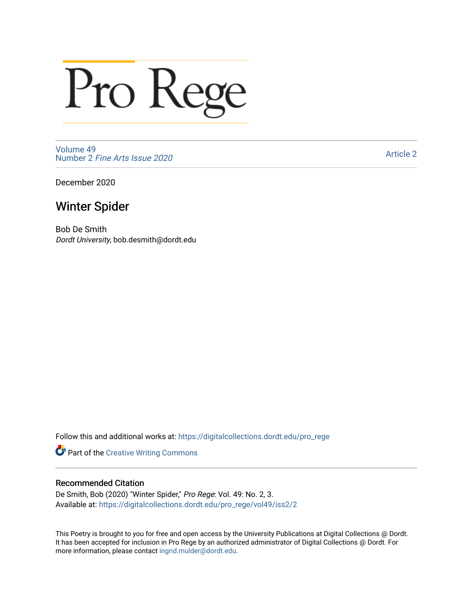# Pro Rege

[Volume 49](https://digitalcollections.dordt.edu/pro_rege/vol49) Number 2 [Fine Arts Issue 2020](https://digitalcollections.dordt.edu/pro_rege/vol49/iss2) 

[Article 2](https://digitalcollections.dordt.edu/pro_rege/vol49/iss2/2) 

December 2020

### Winter Spider

Bob De Smith Dordt University, bob.desmith@dordt.edu

Follow this and additional works at: [https://digitalcollections.dordt.edu/pro\\_rege](https://digitalcollections.dordt.edu/pro_rege?utm_source=digitalcollections.dordt.edu%2Fpro_rege%2Fvol49%2Fiss2%2F2&utm_medium=PDF&utm_campaign=PDFCoverPages) 

Part of the [Creative Writing Commons](http://network.bepress.com/hgg/discipline/574?utm_source=digitalcollections.dordt.edu%2Fpro_rege%2Fvol49%2Fiss2%2F2&utm_medium=PDF&utm_campaign=PDFCoverPages) 

#### Recommended Citation

De Smith, Bob (2020) "Winter Spider," Pro Rege: Vol. 49: No. 2, 3. Available at: [https://digitalcollections.dordt.edu/pro\\_rege/vol49/iss2/2](https://digitalcollections.dordt.edu/pro_rege/vol49/iss2/2?utm_source=digitalcollections.dordt.edu%2Fpro_rege%2Fvol49%2Fiss2%2F2&utm_medium=PDF&utm_campaign=PDFCoverPages) 

This Poetry is brought to you for free and open access by the University Publications at Digital Collections @ Dordt. It has been accepted for inclusion in Pro Rege by an authorized administrator of Digital Collections @ Dordt. For more information, please contact [ingrid.mulder@dordt.edu.](mailto:ingrid.mulder@dordt.edu)